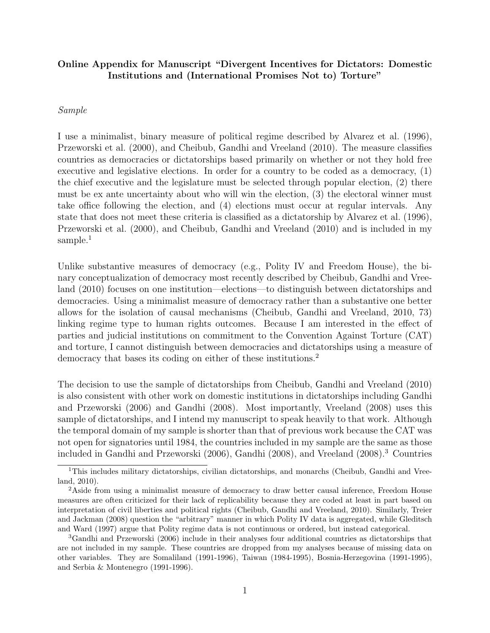#### Online Appendix for Manuscript "Divergent Incentives for Dictators: Domestic Institutions and (International Promises Not to) Torture"

Sample

I use a minimalist, binary measure of political regime described by Alvarez et al. (1996), Przeworski et al. (2000), and Cheibub, Gandhi and Vreeland (2010). The measure classifies countries as democracies or dictatorships based primarily on whether or not they hold free executive and legislative elections. In order for a country to be coded as a democracy, (1) the chief executive and the legislature must be selected through popular election, (2) there must be ex ante uncertainty about who will win the election, (3) the electoral winner must take office following the election, and (4) elections must occur at regular intervals. Any state that does not meet these criteria is classified as a dictatorship by Alvarez et al. (1996), Przeworski et al. (2000), and Cheibub, Gandhi and Vreeland (2010) and is included in my sample.<sup>1</sup>

Unlike substantive measures of democracy (e.g., Polity IV and Freedom House), the binary conceptualization of democracy most recently described by Cheibub, Gandhi and Vreeland (2010) focuses on one institution—elections—to distinguish between dictatorships and democracies. Using a minimalist measure of democracy rather than a substantive one better allows for the isolation of causal mechanisms (Cheibub, Gandhi and Vreeland, 2010, 73) linking regime type to human rights outcomes. Because I am interested in the effect of parties and judicial institutions on commitment to the Convention Against Torture (CAT) and torture, I cannot distinguish between democracies and dictatorships using a measure of democracy that bases its coding on either of these institutions.<sup>2</sup>

The decision to use the sample of dictatorships from Cheibub, Gandhi and Vreeland (2010) is also consistent with other work on domestic institutions in dictatorships including Gandhi and Przeworski (2006) and Gandhi (2008). Most importantly, Vreeland (2008) uses this sample of dictatorships, and I intend my manuscript to speak heavily to that work. Although the temporal domain of my sample is shorter than that of previous work because the CAT was not open for signatories until 1984, the countries included in my sample are the same as those included in Gandhi and Przeworski (2006), Gandhi (2008), and Vreeland (2008).<sup>3</sup> Countries

<sup>&</sup>lt;sup>1</sup>This includes military dictatorships, civilian dictatorships, and monarchs (Cheibub, Gandhi and Vreeland, 2010).

<sup>&</sup>lt;sup>2</sup>Aside from using a minimalist measure of democracy to draw better causal inference, Freedom House measures are often criticized for their lack of replicability because they are coded at least in part based on interpretation of civil liberties and political rights (Cheibub, Gandhi and Vreeland, 2010). Similarly, Treier and Jackman (2008) question the "arbitrary" manner in which Polity IV data is aggregated, while Gleditsch and Ward (1997) argue that Polity regime data is not continuous or ordered, but instead categorical.

<sup>3</sup>Gandhi and Przeworski (2006) include in their analyses four additional countries as dictatorships that are not included in my sample. These countries are dropped from my analyses because of missing data on other variables. They are Somaliland (1991-1996), Taiwan (1984-1995), Bosnia-Herzegovina (1991-1995), and Serbia & Montenegro (1991-1996).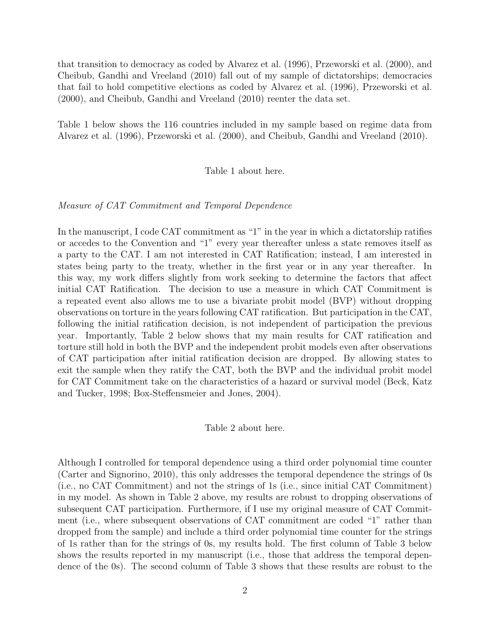that transition to democracy as coded by Alvarez et al. (1996), Przeworski et al. (2000), and Cheibub, Gandhi and Vreeland (2010) fall out of my sample of dictatorships; democracies that fail to hold competitive elections as coded by Alvarez et al. (1996), Przeworski et al. (2000), and Cheibub, Gandhi and Vreeland (2010) reenter the data set.

Table 1 below shows the 116 countries included in my sample based on regime data from Alvarez et al. (1996), Przeworski et al. (2000), and Cheibub, Gandhi and Vreeland (2010).

#### Table 1 about here.

#### Measure of CAT Commitment and Temporal Dependence

In the manuscript, I code CAT commitment as "1" in the year in which a dictatorship ratifies or accedes to the Convention and "1" every year thereafter unless a state removes itself as a party to the CAT. I am not interested in CAT Ratification; instead, I am interested in states being party to the treaty, whether in the first year or in any year thereafter. In this way, my work differs slightly from work seeking to determine the factors that affect initial CAT Ratification. The decision to use a measure in which CAT Commitment is a repeated event also allows me to use a bivariate probit model (BVP) without dropping observations on torture in the years following CAT ratification. But participation in the CAT, following the initial ratification decision, is not independent of participation the previous year. Importantly, Table 2 below shows that my main results for CAT ratification and torture still hold in both the BVP and the independent probit models even after observations of CAT participation after initial ratification decision are dropped. By allowing states to exit the sample when they ratify the CAT, both the BVP and the individual probit model for CAT Commitment take on the characteristics of a hazard or survival model (Beck, Katz and Tucker, 1998; Box-Steffensmeier and Jones, 2004).

#### Table 2 about here.

Although I controlled for temporal dependence using a third order polynomial time counter (Carter and Signorino, 2010), this only addresses the temporal dependence the strings of 0s (i.e., no CAT Commitment) and not the strings of 1s (i.e., since initial CAT Commitment) in my model. As shown in Table 2 above, my results are robust to dropping observations of subsequent CAT participation. Furthermore, if I use my original measure of CAT Commitment (i.e., where subsequent observations of CAT commitment are coded "1" rather than dropped from the sample) and include a third order polynomial time counter for the strings of 1s rather than for the strings of 0s, my results hold. The first column of Table 3 below shows the results reported in my manuscript (i.e., those that address the temporal dependence of the 0s). The second column of Table 3 shows that these results are robust to the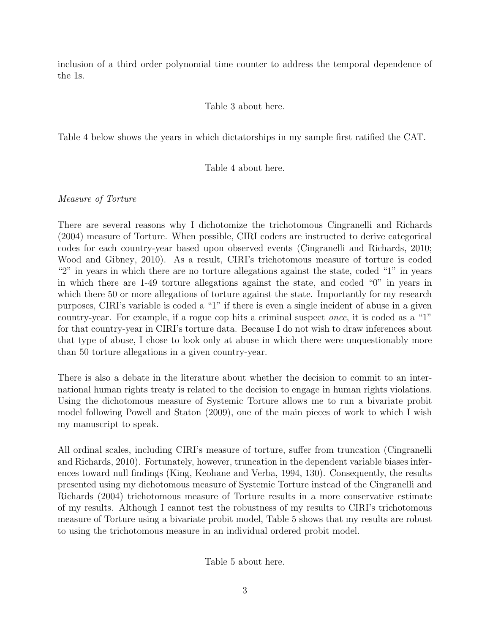inclusion of a third order polynomial time counter to address the temporal dependence of the 1s.

## Table 3 about here.

Table 4 below shows the years in which dictatorships in my sample first ratified the CAT.

### Table 4 about here.

## Measure of Torture

There are several reasons why I dichotomize the trichotomous Cingranelli and Richards (2004) measure of Torture. When possible, CIRI coders are instructed to derive categorical codes for each country-year based upon observed events (Cingranelli and Richards, 2010; Wood and Gibney, 2010). As a result, CIRI's trichotomous measure of torture is coded "2" in years in which there are no torture allegations against the state, coded "1" in years in which there are 1-49 torture allegations against the state, and coded "0" in years in which there 50 or more allegations of torture against the state. Importantly for my research purposes, CIRI's variable is coded a "1" if there is even a single incident of abuse in a given country-year. For example, if a rogue cop hits a criminal suspect once, it is coded as a "1" for that country-year in CIRI's torture data. Because I do not wish to draw inferences about that type of abuse, I chose to look only at abuse in which there were unquestionably more than 50 torture allegations in a given country-year.

There is also a debate in the literature about whether the decision to commit to an international human rights treaty is related to the decision to engage in human rights violations. Using the dichotomous measure of Systemic Torture allows me to run a bivariate probit model following Powell and Staton (2009), one of the main pieces of work to which I wish my manuscript to speak.

All ordinal scales, including CIRI's measure of torture, suffer from truncation (Cingranelli and Richards, 2010). Fortunately, however, truncation in the dependent variable biases inferences toward null findings (King, Keohane and Verba, 1994, 130). Consequently, the results presented using my dichotomous measure of Systemic Torture instead of the Cingranelli and Richards (2004) trichotomous measure of Torture results in a more conservative estimate of my results. Although I cannot test the robustness of my results to CIRI's trichotomous measure of Torture using a bivariate probit model, Table 5 shows that my results are robust to using the trichotomous measure in an individual ordered probit model.

Table 5 about here.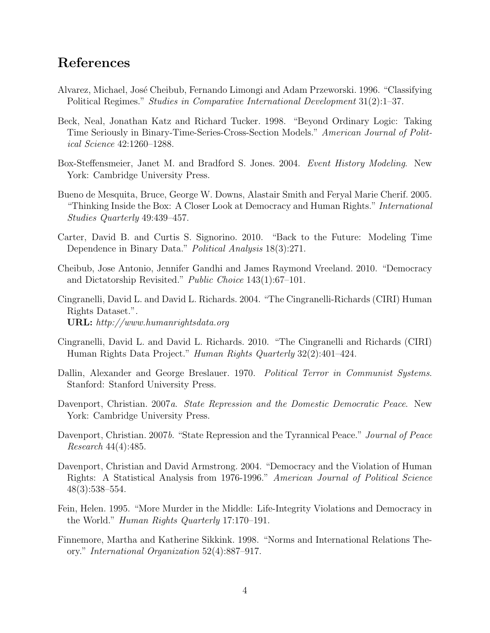# References

- Alvarez, Michael, José Cheibub, Fernando Limongi and Adam Przeworski. 1996. "Classifying Political Regimes." Studies in Comparative International Development 31(2):1–37.
- Beck, Neal, Jonathan Katz and Richard Tucker. 1998. "Beyond Ordinary Logic: Taking Time Seriously in Binary-Time-Series-Cross-Section Models." American Journal of Political Science 42:1260–1288.
- Box-Steffensmeier, Janet M. and Bradford S. Jones. 2004. Event History Modeling. New York: Cambridge University Press.
- Bueno de Mesquita, Bruce, George W. Downs, Alastair Smith and Feryal Marie Cherif. 2005. "Thinking Inside the Box: A Closer Look at Democracy and Human Rights." International Studies Quarterly 49:439–457.
- Carter, David B. and Curtis S. Signorino. 2010. "Back to the Future: Modeling Time Dependence in Binary Data." Political Analysis 18(3):271.
- Cheibub, Jose Antonio, Jennifer Gandhi and James Raymond Vreeland. 2010. "Democracy and Dictatorship Revisited." Public Choice 143(1):67–101.
- Cingranelli, David L. and David L. Richards. 2004. "The Cingranelli-Richards (CIRI) Human Rights Dataset.". URL: http://www.humanrightsdata.org
- Cingranelli, David L. and David L. Richards. 2010. "The Cingranelli and Richards (CIRI) Human Rights Data Project." Human Rights Quarterly 32(2):401–424.
- Dallin, Alexander and George Breslauer. 1970. Political Terror in Communist Systems. Stanford: Stanford University Press.
- Davenport, Christian. 2007*a.* State Repression and the Domestic Democratic Peace. New York: Cambridge University Press.
- Davenport, Christian. 2007b. "State Repression and the Tyrannical Peace." Journal of Peace Research 44(4):485.
- Davenport, Christian and David Armstrong. 2004. "Democracy and the Violation of Human Rights: A Statistical Analysis from 1976-1996." American Journal of Political Science 48(3):538–554.
- Fein, Helen. 1995. "More Murder in the Middle: Life-Integrity Violations and Democracy in the World." Human Rights Quarterly 17:170–191.
- Finnemore, Martha and Katherine Sikkink. 1998. "Norms and International Relations Theory." International Organization 52(4):887–917.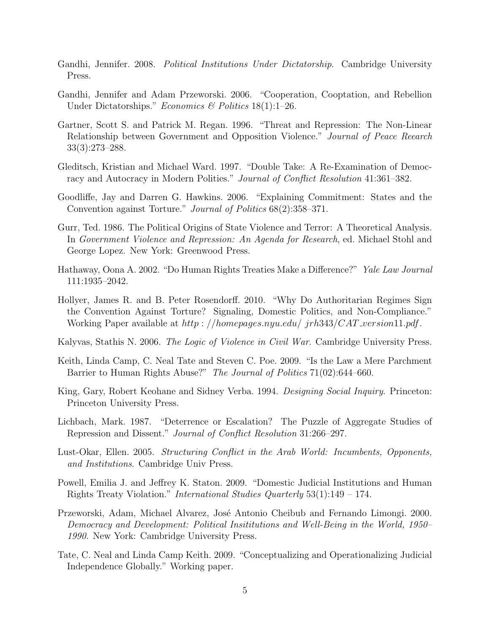- Gandhi, Jennifer. 2008. Political Institutions Under Dictatorship. Cambridge University Press.
- Gandhi, Jennifer and Adam Przeworski. 2006. "Cooperation, Cooptation, and Rebellion Under Dictatorships." Economics & Politics  $18(1)$ :1–26.
- Gartner, Scott S. and Patrick M. Regan. 1996. "Threat and Repression: The Non-Linear Relationship between Government and Opposition Violence." Journal of Peace Reearch 33(3):273–288.
- Gleditsch, Kristian and Michael Ward. 1997. "Double Take: A Re-Examination of Democracy and Autocracy in Modern Polities." Journal of Conflict Resolution 41:361–382.
- Goodliffe, Jay and Darren G. Hawkins. 2006. "Explaining Commitment: States and the Convention against Torture." Journal of Politics 68(2):358–371.
- Gurr, Ted. 1986. The Political Origins of State Violence and Terror: A Theoretical Analysis. In Government Violence and Repression: An Agenda for Research, ed. Michael Stohl and George Lopez. New York: Greenwood Press.
- Hathaway, Oona A. 2002. "Do Human Rights Treaties Make a Difference?" Yale Law Journal 111:1935–2042.
- Hollyer, James R. and B. Peter Rosendorff. 2010. "Why Do Authoritarian Regimes Sign the Convention Against Torture? Signaling, Domestic Politics, and Non-Compliance." Working Paper available at  $http://homepages.nyu.edu/*jrh343/CAT wersion11.pdf*.$
- Kalyvas, Stathis N. 2006. *The Logic of Violence in Civil War*. Cambridge University Press.
- Keith, Linda Camp, C. Neal Tate and Steven C. Poe. 2009. "Is the Law a Mere Parchment Barrier to Human Rights Abuse?" The Journal of Politics 71(02):644–660.
- King, Gary, Robert Keohane and Sidney Verba. 1994. Designing Social Inquiry. Princeton: Princeton University Press.
- Lichbach, Mark. 1987. "Deterrence or Escalation? The Puzzle of Aggregate Studies of Repression and Dissent." Journal of Conflict Resolution 31:266–297.
- Lust-Okar, Ellen. 2005. Structuring Conflict in the Arab World: Incumbents, Opponents, and Institutions. Cambridge Univ Press.
- Powell, Emilia J. and Jeffrey K. Staton. 2009. "Domestic Judicial Institutions and Human Rights Treaty Violation." International Studies Quarterly 53(1):149 – 174.
- Przeworski, Adam, Michael Alvarez, José Antonio Cheibub and Fernando Limongi. 2000. Democracy and Development: Political Insititutions and Well-Being in the World, 1950– 1990. New York: Cambridge University Press.
- Tate, C. Neal and Linda Camp Keith. 2009. "Conceptualizing and Operationalizing Judicial Independence Globally." Working paper.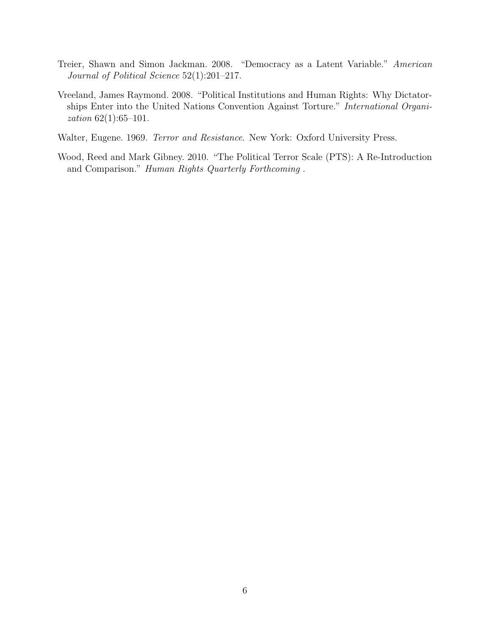- Treier, Shawn and Simon Jackman. 2008. "Democracy as a Latent Variable." American Journal of Political Science 52(1):201–217.
- Vreeland, James Raymond. 2008. "Political Institutions and Human Rights: Why Dictatorships Enter into the United Nations Convention Against Torture." International Organization 62(1):65–101.
- Walter, Eugene. 1969. Terror and Resistance. New York: Oxford University Press.
- Wood, Reed and Mark Gibney. 2010. "The Political Terror Scale (PTS): A Re-Introduction and Comparison." Human Rights Quarterly Forthcoming .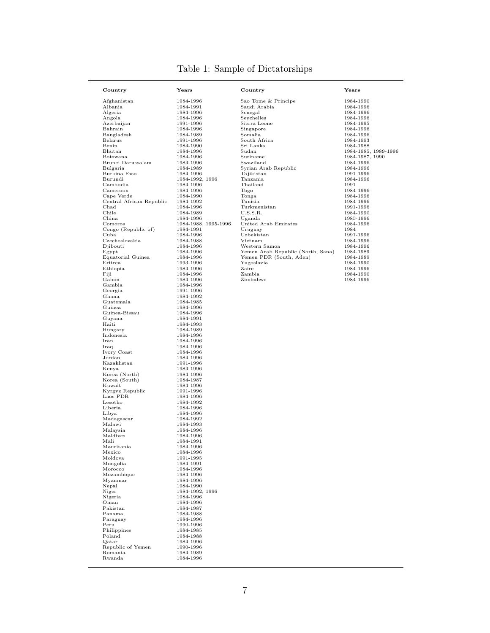| Country                  | $\boldsymbol{\mathrm{Y}}$ ears | Country                           | Years                |
|--------------------------|--------------------------------|-----------------------------------|----------------------|
| Afghanistan              | 1984-1996                      | Sao Tome & Principe               | 1984-1990            |
| Albania                  | 1984-1991                      | Saudi Arabia                      | 1984-1996            |
| Algeria                  | 1984-1996                      | Senegal                           | 1984-1996            |
|                          |                                |                                   |                      |
| Angola                   | 1984-1996                      | Seychelles                        | 1984-1996            |
| Azerbaijan               | 1991-1996                      | Sierra Leone                      | 1984-1995            |
| Bahrain                  | 1984-1996                      | Singapore                         | 1984-1996            |
| Bangladesh               | 1984-1989                      | Somalia                           | 1984-1996            |
| Belarus                  | 1991-1996                      | South Africa                      | 1984-1993            |
| Benin                    | 1984-1990                      | Sri Lanka                         | 1984-1988            |
| Bhutan                   | 1984-1996                      | Sudan                             | 1984-1985, 1989-1996 |
| Botswana                 | 1984-1996                      | Suriname                          | 1984-1987, 1990      |
|                          |                                |                                   |                      |
| Brunei Darussalam        | 1984-1996                      | Swaziland                         | 1984-1996            |
| Bulgaria                 | 1984-1989                      | Syrian Arab Republic              | 1984-1996            |
| Burkina Faso             | 1984-1996                      | Tajikistan                        | 1991-1996            |
| Burundi                  | 1984-1992, 1996                | Tanzania                          | 1984-1996            |
| Cambodia                 | 1984-1996                      | Thailand                          | 1991                 |
| Cameroon                 | 1984-1996                      | Togo                              | 1984-1996            |
| Cape Verde               | 1984-1990                      | Tonga                             | 1984-1996            |
|                          |                                |                                   |                      |
| Central African Republic | 1984-1992                      | Tunisia                           | 1984-1996            |
| Chad                     | 1984-1996                      | Turkmenistan                      | 1991-1996            |
| Chile                    | 1984-1989                      | U.S.S.R.                          | 1984-1990            |
| China                    | 1984-1996                      | Uganda                            | 1985-1996            |
| Comoros                  | 1984-1988, 1995-1996           | United Arab Emirates              | 1984-1996            |
| Congo (Republic of)      | 1984-1991                      | Uruguay                           | 1984                 |
|                          |                                | Uzbekistan                        |                      |
| Cuba                     | 1984-1996                      |                                   | 1991-1996            |
| Czechoslovakia           | 1984-1988                      | Vietnam                           | 1984-1996            |
| Djibouti                 | 1984-1996                      | Western Samoa                     | 1984-1996            |
| Egypt                    | 1984-1996                      | Yemen Arab Republic (North, Sana) | 1984-1989            |
| Equatorial Guinea        | 1984-1996                      | Yemen PDR (South, Aden)           | 1984-1989            |
| Eritrea                  | 1993-1996                      | Yugoslavia                        | 1984-1990            |
| Ethiopia                 | 1984-1996                      | Zaire                             | 1984-1996            |
|                          |                                |                                   |                      |
| Fiji                     | 1984-1996                      | Zambia                            | 1984-1990            |
| Gabon                    | 1984-1996                      | Zimbabwe                          | 1984-1996            |
| Gambia                   | 1984-1996                      |                                   |                      |
| Georgia                  | 1991-1996                      |                                   |                      |
| Ghana                    | 1984-1992                      |                                   |                      |
| Guatemala                | 1984-1985                      |                                   |                      |
|                          |                                |                                   |                      |
| Guinea                   | 1984-1996                      |                                   |                      |
| Guinea-Bissau            | 1984-1996                      |                                   |                      |
| Guyana                   | 1984-1991                      |                                   |                      |
| Haiti                    | 1984-1993                      |                                   |                      |
| Hungary                  | 1984-1989                      |                                   |                      |
| Indonesia                | 1984-1996                      |                                   |                      |
| Iran                     |                                |                                   |                      |
|                          | 1984-1996                      |                                   |                      |
| Iraq                     | 1984-1996                      |                                   |                      |
| Ivory Coast              | 1984-1996                      |                                   |                      |
| Jordan                   | 1984-1996                      |                                   |                      |
| Kazakhstan               | 1991-1996                      |                                   |                      |
| Kenya                    | 1984-1996                      |                                   |                      |
|                          |                                |                                   |                      |
| Korea (North)            | 1984-1996                      |                                   |                      |
| Korea (South)            | 1984-1987                      |                                   |                      |
| Kuwait                   | 1984-1996                      |                                   |                      |
| Kyrgyz Republic          | 1991-1996                      |                                   |                      |
| Laos PDR                 | 1984-1996                      |                                   |                      |
| Lesotho                  | 1984-1992                      |                                   |                      |
| Liberia                  | 1984-1996                      |                                   |                      |
|                          | 1984-1996                      |                                   |                      |
| Libya                    |                                |                                   |                      |
| Madagascar               | 1984-1992                      |                                   |                      |
| Malawi                   | 1984-1993                      |                                   |                      |
| Malaysia                 | 1984-1996                      |                                   |                      |
| Maldives                 | 1984-1996                      |                                   |                      |
| Mali                     | 1984-1991                      |                                   |                      |
| Mauritania               |                                |                                   |                      |
|                          | 1984-1996                      |                                   |                      |
| Mexico                   | 1984-1996                      |                                   |                      |
| Moldova                  | 1991-1995                      |                                   |                      |
| Mongolia                 | 1984-1991                      |                                   |                      |
| Morocco                  | 1984-1996                      |                                   |                      |
| Mozambique               | 1984-1996                      |                                   |                      |
| Myanmar                  | 1984-1996                      |                                   |                      |
|                          |                                |                                   |                      |
| Nepal                    | 1984-1990                      |                                   |                      |
| Niger                    | 1984-1992, 1996                |                                   |                      |
| Nigeria                  | 1984-1996                      |                                   |                      |
| Oman                     | 1984-1996                      |                                   |                      |
| Pakistan                 | 1984-1987                      |                                   |                      |
|                          |                                |                                   |                      |
| Panama                   | 1984-1988                      |                                   |                      |
| Paraguay                 | 1984-1996                      |                                   |                      |
| Peru                     | 1990-1996                      |                                   |                      |
| Philippines              | 1984-1985                      |                                   |                      |
| Poland                   | 1984-1988                      |                                   |                      |
| Qatar                    |                                |                                   |                      |
|                          | 1984-1996                      |                                   |                      |
|                          |                                |                                   |                      |
| Republic of Yemen        | 1990-1996                      |                                   |                      |
| Romania<br>Rwanda        | 1984-1989                      |                                   |                      |

# Table 1: Sample of Dictatorships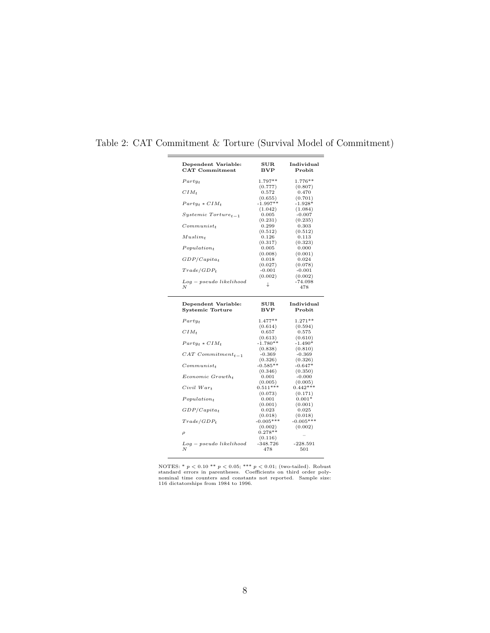| Dependent Variable:<br><b>CAT</b> Commitment                                                                                                                                                           | $_{\rm{SUR}}$<br>$_{\rm BVP}$ | Individual<br>Probit |
|--------------------------------------------------------------------------------------------------------------------------------------------------------------------------------------------------------|-------------------------------|----------------------|
| $Partu_t$                                                                                                                                                                                              | $1.797**$                     | 1.776**              |
|                                                                                                                                                                                                        | (0.777)                       | (0.807)              |
| $CIM_t$                                                                                                                                                                                                | 0.572                         | 0.470                |
|                                                                                                                                                                                                        | (0.655)                       | (0.701)              |
| $Party_t * CIM_t$                                                                                                                                                                                      | $-1.997**$                    | $-1.928*$            |
|                                                                                                                                                                                                        | (1.042)                       | (1.084)              |
| $Systemic\,\,Torture_{t-1}$                                                                                                                                                                            | 0.005                         | $-0.007$             |
|                                                                                                                                                                                                        | (0.231)                       | (0.235)              |
| $Commonunist_t$                                                                                                                                                                                        | 0.299                         | 0.303                |
|                                                                                                                                                                                                        | (0.512)                       | (0.512)              |
| $Muslim_{t}$                                                                                                                                                                                           | 0.126                         | 0.113                |
|                                                                                                                                                                                                        | (0.317)                       | (0.323)              |
| $Population_t$                                                                                                                                                                                         | 0.005                         | 0.000                |
|                                                                                                                                                                                                        | (0.008)                       | (0.001)              |
| $GDP/Capita_t$                                                                                                                                                                                         | 0.018                         | 0.024                |
|                                                                                                                                                                                                        | (0.027)                       | (0.078)              |
| $Trade/GDP_t$                                                                                                                                                                                          | $-0.001$                      | $-0.001$             |
|                                                                                                                                                                                                        | (0.002)                       | (0.002)              |
| Loq – pseudo likelihood                                                                                                                                                                                | T                             | $-74.098$            |
| N                                                                                                                                                                                                      |                               | 478                  |
|                                                                                                                                                                                                        |                               |                      |
|                                                                                                                                                                                                        | $_{\rm{SUB}}$<br>$_{\rm BVP}$ | Individual<br>Probit |
|                                                                                                                                                                                                        | $1.477**$                     | $1.271**$            |
|                                                                                                                                                                                                        | (0.614)                       | (0.594)              |
|                                                                                                                                                                                                        | 0.657                         | 0.575                |
|                                                                                                                                                                                                        | (0.613)                       | (0.610)              |
|                                                                                                                                                                                                        | $-1.780**$                    | $-1.490*$            |
|                                                                                                                                                                                                        | (0.838)                       | (0.810)              |
|                                                                                                                                                                                                        | $-0.369$                      | $-0.369$             |
|                                                                                                                                                                                                        | (0.326)                       | (0.326)              |
|                                                                                                                                                                                                        | $-0.585**$                    | $-0.647*$            |
|                                                                                                                                                                                                        |                               |                      |
|                                                                                                                                                                                                        | (0.346)<br>0.001              | (0.350)<br>$-0.000$  |
|                                                                                                                                                                                                        | (0.005)                       | (0.005)              |
|                                                                                                                                                                                                        | $0.511***$                    | $0.442***$           |
|                                                                                                                                                                                                        | (0.073)                       |                      |
|                                                                                                                                                                                                        | $_{0.001}$                    | (0.171)<br>$0.001*$  |
|                                                                                                                                                                                                        | (0.001)                       | (0.001)              |
| <b>Systemic Torture</b><br>$Partu_t$<br>$CIM_t$<br>$Partu_t * CIM_t$<br>$CAT$ Commitment <sub>t-1</sub><br>$Commonunist_t$<br>$E$ conomic $G$ rowth <sub>t</sub><br>$Civil \; War_t$<br>$Population_t$ | 0.023                         | 0.025                |
| Dependent Variable:<br>$GDP/Capita_t$                                                                                                                                                                  | (0.018)                       | (0.018)              |
|                                                                                                                                                                                                        | $-0.005***$                   |                      |
| $Trade/GDP_t$                                                                                                                                                                                          |                               | $-0.005***$          |
| $\rho$                                                                                                                                                                                                 | (0.002)<br>$0.278**$          | (0.002)              |
|                                                                                                                                                                                                        | (0.116)                       |                      |
| $Log - pseudo\ likelihood$                                                                                                                                                                             | $-348.726$                    | $-228.591$           |

Table 2: CAT Commitment & Torture (Survival Model of Commitment)

NOTES: \*  $p < 0.10$  \*\*  $p < 0.05$ ; \*\*\*  $p < 0.01$ ; (two-tailed). Robust standard errors in parentheses. Coefficients on third order polynominal time counters and constants not reported. Sample size: 116 dictatorships from 19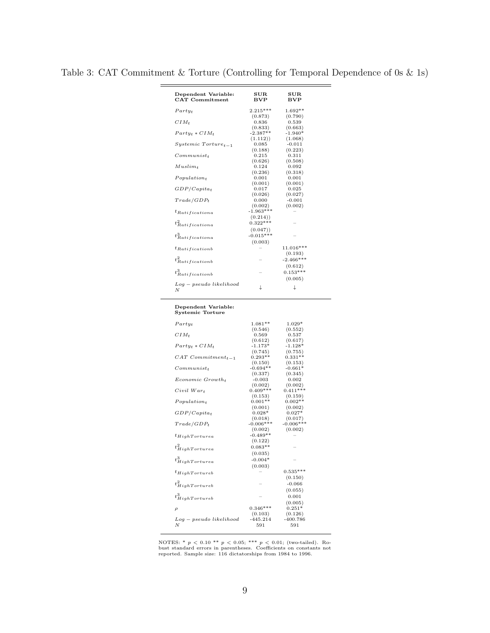$\overline{a}$ 

| Dependent Variable:<br><b>CAT</b> Commitment | $\overline{\mathrm{SUR}}$<br>BVP | $_{\rm{SUB}}$<br>BVP |
|----------------------------------------------|----------------------------------|----------------------|
| $Partu_t$                                    | $2.215***$                       | $1.692**$            |
|                                              | (0.873)                          | (0.790)              |
| $CIM_t$                                      | 0.836                            | 0.539                |
|                                              | (0.833)                          | (0.663)              |
| $Party_t * CIM_t$                            | $-2.387**$                       | $-1.940*$            |
|                                              | (1.112))                         | (1.068)              |
| $Systemic\ Torture_{t-1}$                    | 0.085                            | $-0.011$             |
|                                              | (0.188)                          | (0.223)              |
| $Commonunist_t$                              | 0.215                            | 0.311                |
|                                              | (0.626)                          | (0.508)              |
| $Muslim_{t}$                                 | 0.124                            | 0.092                |
|                                              | (0.236)                          | (0.318)              |
| Population <sub>t</sub>                      | 0.001                            | 0.001                |
|                                              | (0.001)                          | (0.001)              |
| $GDP/Capita_t$                               | 0.017                            | 0.025                |
|                                              | (0.026)                          | (0.027)              |
| $Trade/GDP_t$                                | 0.000                            | $-0.001$             |
|                                              | (0.002)                          | (0.002)              |
| $t_{Ratificationa}$                          | $-1.963***$                      |                      |
|                                              | (0.214)                          |                      |
| $t^2_{Ratificationa}$                        | $0.322***$                       |                      |
|                                              | (0.047)                          |                      |
|                                              | $-0.015***$                      |                      |
| $t^3_{Ratificationa}$                        | (0.003)                          |                      |
| $t_{Ratification}$                           |                                  | $11.016***$          |
|                                              |                                  | (0.193)              |
| $t^2_{Ratification}$                         |                                  | $-2.466***$          |
|                                              |                                  | (0.612)              |
| $t^3_{Ratification}$                         |                                  | $0.153***$           |
|                                              |                                  | (0.005)              |
| $Log - pseudo\ likelihood$                   |                                  |                      |
| Ν                                            | T                                | ↓                    |
|                                              |                                  |                      |

## Dependent Variable: Systemic Torture

| $Party_t$                       | $1.081**$   | $1.029*$    |
|---------------------------------|-------------|-------------|
|                                 | (0.546)     | (0.552)     |
| $CIM_t$                         | 0.569       | 0.537       |
|                                 | (0.612)     | (0.617)     |
| $Party_t * CIM_t$               | $-1.173*$   | $-1.128*$   |
|                                 | (0.745)     | (0.755)     |
| $CAT$ Commitment <sub>t-1</sub> | $0.293**$   | $0.331**$   |
|                                 | (0.150)     | (0.153)     |
| $Commonunist_t$                 | $-0.694**$  | $-0.661*$   |
|                                 | (0.337)     | (0.345)     |
| Economic Growth+                | $-0.003$    | 0.002       |
|                                 | (0.002)     | (0.002)     |
| $Civil \; Wart$                 | $0.409***$  | $0.411***$  |
|                                 | (0.153)     | (0.159)     |
| Population <sub>t</sub>         | $0.001**$   | $0.002**$   |
|                                 | (0.001)     | (0.002)     |
| $GDP/Capita_t$                  | $0.028*$    | $0.027*$    |
|                                 | (0.018)     | (0.017)     |
| $Trade/GDP_t$                   | $-0.006***$ | $-0.006***$ |
|                                 | (0.002)     | (0.002)     |
|                                 | $-0.489**$  |             |
| $t_{HighTorturea}$              |             |             |
|                                 | (0.122)     |             |
| $t^2_{HighTorturea}$            | $0.083**$   |             |
|                                 | (0.035)     |             |
| $t^3_{HighTorturea}$            | $-0.004*$   |             |
|                                 | (0.003)     |             |
| $t_{HighTortureb}$              |             | $0.535***$  |
|                                 |             | (0.150)     |
| $t^2_{HighTortureb}$            |             | $-0.066$    |
|                                 |             | (0.055)     |
|                                 |             | 0.001       |
| $t^3_{HighTortureb}$            |             |             |
|                                 |             | (0.005)     |
| $\rho$                          | $0.346***$  | $0.251*$    |
|                                 | (0.103)     | (0.126)     |
| $Log - pseudo\ likelihood$      | $-445.214$  | $-400.786$  |
| N                               | 591         | 591         |

NOTES: \* p < 0.10 \*\* p < 0.05; \*\*\* p < 0.01; (two-tailed). Ro-bust standard errors in parentheses. Coefficients on constants not reported. Sample size: 116 dictatorships from 1984 to 1996.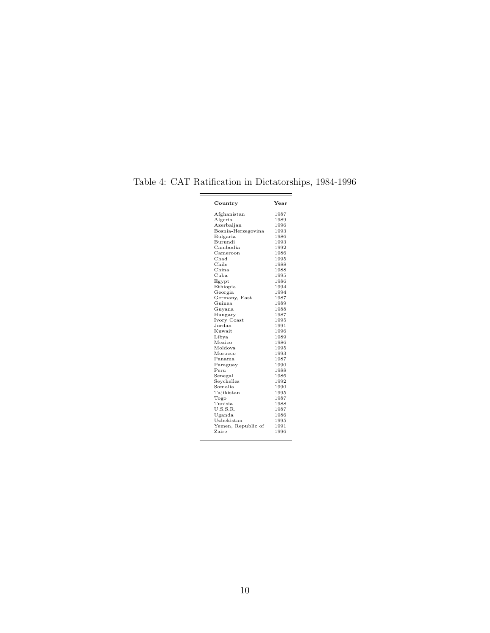| Country            | Year |
|--------------------|------|
| Afghanistan        | 1987 |
| Algeria            | 1989 |
| Azerbaijan         | 1996 |
| Bosnia-Herzegovina | 1993 |
| Bulgaria           | 1986 |
| Burundi            | 1993 |
| Cambodia           | 1992 |
| Cameroon           | 1986 |
| Chad               | 1995 |
| Chile              | 1988 |
| China.             | 1988 |
| Cuba               | 1995 |
| Egypt              | 1986 |
| Ethiopia           | 1994 |
| Georgia            | 1994 |
| Germany, East      | 1987 |
| Guinea             | 1989 |
| Guyana             | 1988 |
| Hungary            | 1987 |
| Ivory Coast        | 1995 |
| Jordan             | 1991 |
| Kuwait             | 1996 |
| Libya              | 1989 |
| Mexico             | 1986 |
| Moldova            | 1995 |
| Morocco            | 1993 |
| Panama             | 1987 |
| Paraguay           | 1990 |
| Peru               | 1988 |
| Senegal            | 1986 |
| Seychelles         | 1992 |
| Somalia            | 1990 |
| Tajikistan         | 1995 |
| Togo               | 1987 |
| Tunisia            | 1988 |
| U.S.S.R.           | 1987 |
| Uganda             | 1986 |
| Uzbekistan         | 1995 |
| Yemen, Republic of | 1991 |
| Zaire              | 1996 |

Table 4: CAT Ratification in Dictatorships, 1984-1996